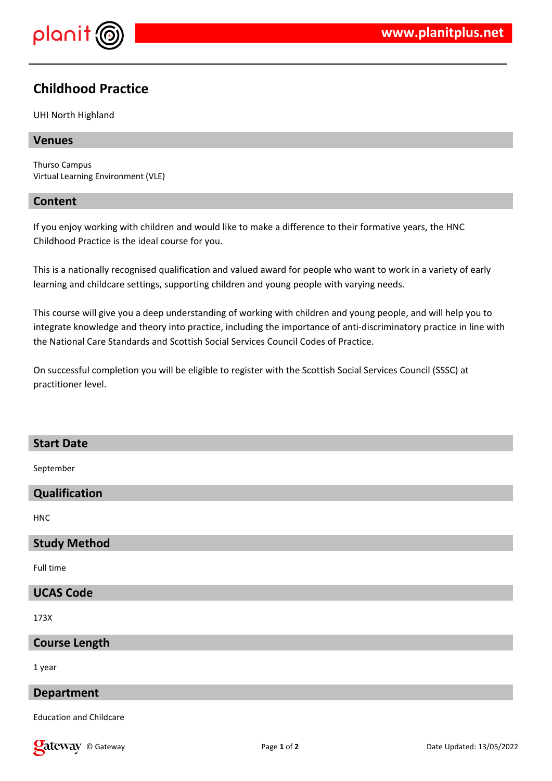

# **Childhood Practice**

### UHI North Highland

## **Venues**

Thurso Campus Virtual Learning Environment (VLE)

## **Content**

If you enjoy working with children and would like to make a difference to their formative years, the HNC Childhood Practice is the ideal course for you.

This is a nationally recognised qualification and valued award for people who want to work in a variety of early learning and childcare settings, supporting children and young people with varying needs.

This course will give you a deep understanding of working with children and young people, and will help you to integrate knowledge and theory into practice, including the importance of anti-discriminatory practice in line with the National Care Standards and Scottish Social Services Council Codes of Practice.

On successful completion you will be eligible to register with the Scottish Social Services Council (SSSC) at practitioner level.

## **Start Date**

September

# **Qualification**

HNC

## **Study Method**

Full time

# **UCAS Code**

173X

## **Course Length**

1 year

#### **Department**

Education and Childcare